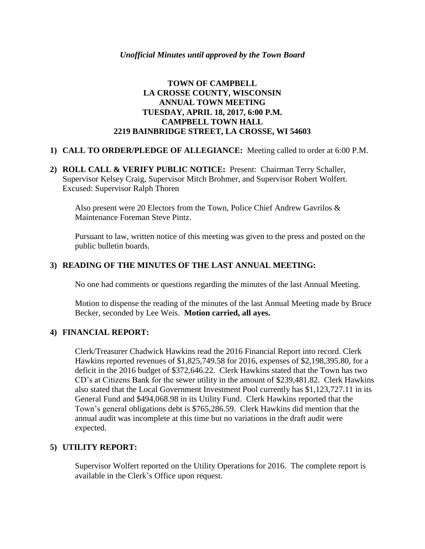# **TOWN OF CAMPBELL LA CROSSE COUNTY, WISCONSIN ANNUAL TOWN MEETING TUESDAY, APRIL 18, 2017, 6:00 P.M. CAMPBELL TOWN HALL 2219 BAINBRIDGE STREET, LA CROSSE, WI 54603**

## **1) CALL TO ORDER/PLEDGE OF ALLEGIANCE:** Meeting called to order at 6:00 P.M.

**2) ROLL CALL & VERIFY PUBLIC NOTICE:** Present: Chairman Terry Schaller, Supervisor Kelsey Craig, Supervisor Mitch Brohmer, and Supervisor Robert Wolfert. Excused: Supervisor Ralph Thoren

Also present were 20 Electors from the Town, Police Chief Andrew Gavrilos & Maintenance Foreman Steve Pintz.

Pursuant to law, written notice of this meeting was given to the press and posted on the public bulletin boards.

# **3) READING OF THE MINUTES OF THE LAST ANNUAL MEETING:**

No one had comments or questions regarding the minutes of the last Annual Meeting.

Motion to dispense the reading of the minutes of the last Annual Meeting made by Bruce Becker, seconded by Lee Weis. **Motion carried, all ayes.**

#### **4) FINANCIAL REPORT:**

Clerk/Treasurer Chadwick Hawkins read the 2016 Financial Report into record. Clerk Hawkins reported revenues of \$1,825,749.58 for 2016, expenses of \$2,198,395.80, for a deficit in the 2016 budget of \$372,646.22. Clerk Hawkins stated that the Town has two CD's at Citizens Bank for the sewer utility in the amount of \$239,481.82. Clerk Hawkins also stated that the Local Government Investment Pool currently has \$1,123,727.11 in its General Fund and \$494,068.98 in its Utility Fund. Clerk Hawkins reported that the Town's general obligations debt is \$765,286.59. Clerk Hawkins did mention that the annual audit was incomplete at this time but no variations in the draft audit were expected.

#### **5) UTILITY REPORT:**

Supervisor Wolfert reported on the Utility Operations for 2016. The complete report is available in the Clerk's Office upon request.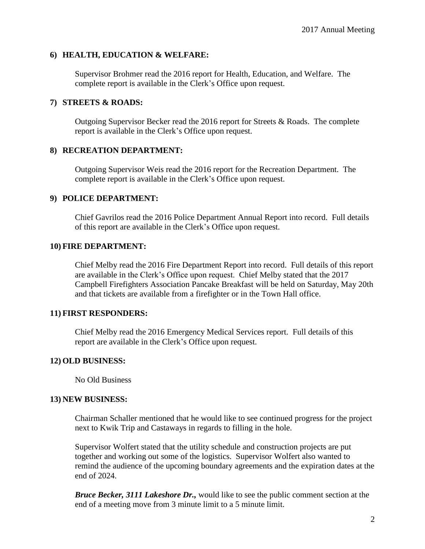## **6) HEALTH, EDUCATION & WELFARE:**

Supervisor Brohmer read the 2016 report for Health, Education, and Welfare. The complete report is available in the Clerk's Office upon request.

#### **7) STREETS & ROADS:**

Outgoing Supervisor Becker read the 2016 report for Streets & Roads. The complete report is available in the Clerk's Office upon request.

## **8) RECREATION DEPARTMENT:**

Outgoing Supervisor Weis read the 2016 report for the Recreation Department. The complete report is available in the Clerk's Office upon request.

## **9) POLICE DEPARTMENT:**

Chief Gavrilos read the 2016 Police Department Annual Report into record. Full details of this report are available in the Clerk's Office upon request.

## **10) FIRE DEPARTMENT:**

Chief Melby read the 2016 Fire Department Report into record. Full details of this report are available in the Clerk's Office upon request. Chief Melby stated that the 2017 Campbell Firefighters Association Pancake Breakfast will be held on Saturday, May 20th and that tickets are available from a firefighter or in the Town Hall office.

#### **11) FIRST RESPONDERS:**

Chief Melby read the 2016 Emergency Medical Services report. Full details of this report are available in the Clerk's Office upon request.

# **12) OLD BUSINESS:**

No Old Business

#### **13) NEW BUSINESS:**

Chairman Schaller mentioned that he would like to see continued progress for the project next to Kwik Trip and Castaways in regards to filling in the hole.

Supervisor Wolfert stated that the utility schedule and construction projects are put together and working out some of the logistics. Supervisor Wolfert also wanted to remind the audience of the upcoming boundary agreements and the expiration dates at the end of 2024.

*Bruce Becker, 3111 Lakeshore Dr.,* would like to see the public comment section at the end of a meeting move from 3 minute limit to a 5 minute limit.